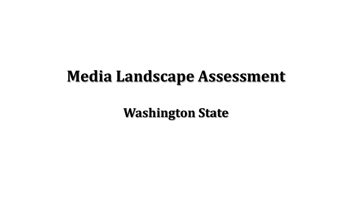# **Media Landscape Assessment**

**Washington State**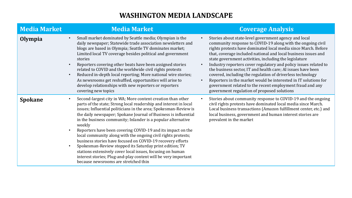## **WASHINGTON MEDIA LANDSCAPE**

| <b>Media Market</b> | <b>Media Market</b>                                                                                                                                                                                                                                                                                                                                                                                                                                                                                                                                                                                                                                                                                                                                                                                                       | <b>Coverage Analysis</b>                                                                                                                                                                                                                                                                                                                                                                                                                                                                                                                                                                                                                                                                            |
|---------------------|---------------------------------------------------------------------------------------------------------------------------------------------------------------------------------------------------------------------------------------------------------------------------------------------------------------------------------------------------------------------------------------------------------------------------------------------------------------------------------------------------------------------------------------------------------------------------------------------------------------------------------------------------------------------------------------------------------------------------------------------------------------------------------------------------------------------------|-----------------------------------------------------------------------------------------------------------------------------------------------------------------------------------------------------------------------------------------------------------------------------------------------------------------------------------------------------------------------------------------------------------------------------------------------------------------------------------------------------------------------------------------------------------------------------------------------------------------------------------------------------------------------------------------------------|
| Olympia             | Small market dominated by Seattle media; Olympian is the<br>$\bullet$<br>daily newspaper; Statewide trade association newsletters and<br>blogs are based in Olympia; Seattle TV dominates market;<br>Limited local TV coverage besides political and government<br>stories<br>Reporters covering other beats have been assigned stories<br>$\bullet$<br>related to COVID and the worldwide civil rights protests<br>Reduced in-depth local reporting; More national wire stories;<br>$\bullet$<br>As newsrooms get reshuffled, opportunities will arise to<br>develop relationships with new reporters or reporters<br>covering new topics                                                                                                                                                                                | Stories about state-level government agency and local<br>community response to COVID-19 along with the ongoing civil<br>rights protests have dominated local media since March. Before<br>that, coverage included national and local business issues and<br>state government activities, including the legislature<br>Industry reporters cover regulatory and policy issues related to<br>the business sector, IT and health care; AI issues have been<br>covered, including the regulation of driverless technology<br>Reporters in the market would be interested in IT solutions for<br>government related to the recent employment fraud and any<br>government regulation of proposed solutions |
| <b>Spokane</b>      | Second-largest city in WA; More content creation than other<br>$\bullet$<br>parts of the state; Strong local readership and interest in local<br>issues; Influential politicians in the area; Spokesman-Review is<br>the daily newspaper; Spokane Journal of Business is influential<br>in the business community; Inlander is a popular alternative<br>weekly<br>Reporters have been covering COVID-19 and its impact on the<br>$\bullet$<br>local community along with the ongoing civil rights protests;<br>business stories have focused on COVID-19 recovery efforts<br>Spokesman-Review stopped its Saturday print edition; TV<br>$\bullet$<br>stations extensively cover local issues, focusing on human<br>interest stories; Plug-and-play content will be very important<br>because newsrooms are stretched thin | Stories about community response to COVID-19 and the ongoing<br>civil rights protests have dominated local media since March.<br>Local business transactions (Amazon fulfillment center, etc.) and<br>local business, government and human interest stories are<br>prevalent in the market                                                                                                                                                                                                                                                                                                                                                                                                          |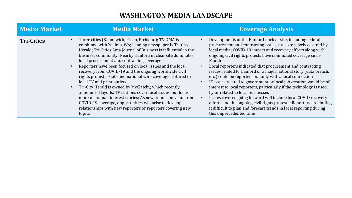# **WASHINGTON MEDIA LANDSCAPE**

| Media Market      | <b>Media Market</b>                                                                                                                                                                                                                                                                                                                                                                                                                                                                                                                                                                                                                                                                                                                                                                                                                           | <b>Coverage Analysis</b>                                                                                                                                                                                                                                                                                                                                                                                                                                                                                                                                                                                                                                                                                                                                                                                                                                                                          |
|-------------------|-----------------------------------------------------------------------------------------------------------------------------------------------------------------------------------------------------------------------------------------------------------------------------------------------------------------------------------------------------------------------------------------------------------------------------------------------------------------------------------------------------------------------------------------------------------------------------------------------------------------------------------------------------------------------------------------------------------------------------------------------------------------------------------------------------------------------------------------------|---------------------------------------------------------------------------------------------------------------------------------------------------------------------------------------------------------------------------------------------------------------------------------------------------------------------------------------------------------------------------------------------------------------------------------------------------------------------------------------------------------------------------------------------------------------------------------------------------------------------------------------------------------------------------------------------------------------------------------------------------------------------------------------------------------------------------------------------------------------------------------------------------|
| <b>Tri-Cities</b> | Three cities (Kennewick, Pasco, Richland); TV DMA is<br>combined with Yakima, WA; Leading newspaper is Tri-City<br>Herald; Tri-Cities Area Journal of Business is influential in the<br>business community; Nearby Hanford nuclear site dominates<br>local procurement and contracting coverage<br>Reporters have been focused on local issues and the local<br>recovery from COVID-19 and the ongoing worldwide civil<br>rights protests; State and national wire coverage featured in<br>local TV and print outlets<br>Tri-City Herald is owned by McClatchy, which recently<br>announced layoffs; TV stations cover local issues, but focus<br>more on human interest stories; As newsrooms move on from<br>COVID-19 coverage, opportunities will arise to develop<br>relationships with new reporters or reporters covering new<br>topics | Developments at the Hanford nuclear site, including federal<br>procurement and contracting issues, are extensively covered by<br>local media; COVID-19 impact and recovery efforts along with<br>ongoing civil rights protests have dominated coverage since<br>March<br>Local reporters indicated that procurement and contracting<br>issues related to Hanford or a major national story (data breach,<br>etc.) could be reported, but only with a local connection<br>IT issues related to government or local job creation would be of<br>interest to local reporters, particularly if the technology is used<br>by or related to local businesses<br>Issues covered going forward will include local COVID recovery<br>efforts and the ongoing civil rights protests; Reporters are finding<br>it difficult to plan and forecast trends in local reporting during<br>this unprecedented time |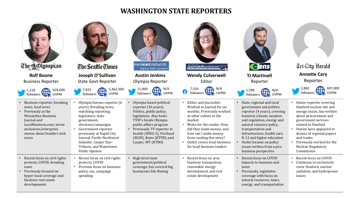#### **WASHINGTON STATE REPORTERS**





7,823 followers UVPM

Olympia bureau reporter (6 years); Breaking news, watchdog reporting; legislature, state government, 

elections/campaigns Government reporter previously at Rapid City Journal, Pacific Northwest Inlander, Casper Star-Tribune, and Watertown

Public Opinion

protects, COVID

spending

Recent focus on civil rights

• Previous focus on business policy, tax, campaign 







• Olympia-based political reporter (16 years); Politics, public policy, legislature. Also hosts TVW's Inside Olympia public affairs program • Previously TV reporter in Seattle (KING-5), Portland (KGW), Boise (KTVB), and Casper, WY (KTBO)

**Austin Jenkins** Olympia Reporter

nw **news** network

Regional Public Journalism

• High-level state government/political coverage, has covered big businesses like Boeing



• Editor and iournalist: Worked at Journal for six months; Previously worked at other outlets in the

• Recent focus on area business transactions, renewable energy development, and real estate development

Motto for the reader: How did they make money, and how can I make money from reading this story? • Outlet covers local business for local business leaders

market

**elens TJ Martinell** Reporter $N/A$ <br>UVPM  $\begin{array}{ccc} 1,596 \\ \hline \end{array}$ followers



N/A

business perspective

• Recent focus on COVID impacts to business and

• Previously, legislative coverage with focus on natural resources, taxes, energy, and transportation

taxes



**Annette Cary** Reporter

**Tri-City Herald** 

- related to Hanford Stories have appeared in dozens of regional papers and trades
- Previously worked for the Nuclear Regulatory Commission
- Recent focus on COVID • Continues to exclusively cover Hanford, nuclear radiation, and hydropower

| $\bullet$ | Recent focus on COVID     |
|-----------|---------------------------|
| $\bullet$ | Continues to exclusively  |
|           | cover Hanford, nuclear    |
|           | radiation, and hydropower |
|           | issues                    |

|           | news |                          |  |
|-----------|------|--------------------------|--|
| $\bullet$ |      | Previously focused on    |  |
|           |      | hyper-local coverage and |  |
|           |      | business real estate     |  |

developments

Recent focus on civil rights protests, COVID, breaking